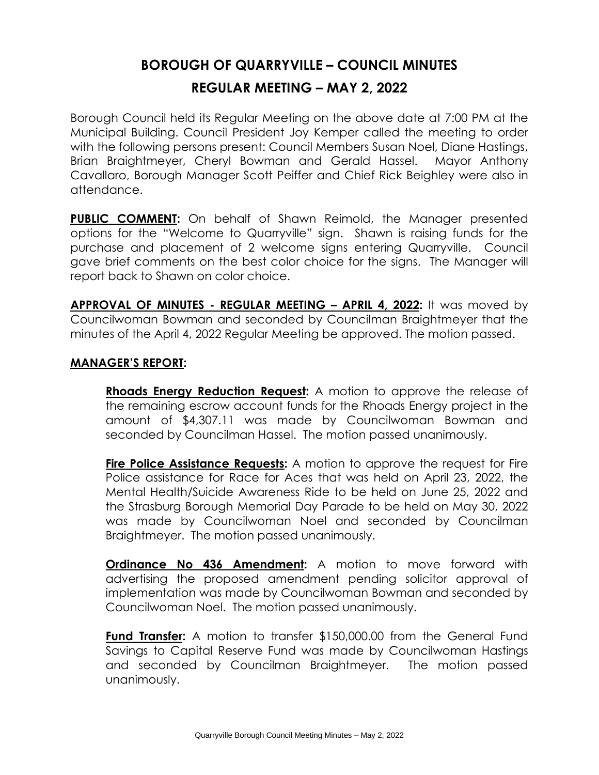## **BOROUGH OF QUARRYVILLE – COUNCIL MINUTES REGULAR MEETING – MAY 2, 2022**

Borough Council held its Regular Meeting on the above date at 7:00 PM at the Municipal Building. Council President Joy Kemper called the meeting to order with the following persons present: Council Members Susan Noel, Diane Hastings, Brian Braightmeyer, Cheryl Bowman and Gerald Hassel. Mayor Anthony Cavallaro, Borough Manager Scott Peiffer and Chief Rick Beighley were also in attendance.

**PUBLIC COMMENT:** On behalf of Shawn Reimold, the Manager presented options for the "Welcome to Quarryville" sign. Shawn is raising funds for the purchase and placement of 2 welcome signs entering Quarryville. Council gave brief comments on the best color choice for the signs. The Manager will report back to Shawn on color choice.

**APPROVAL OF MINUTES - REGULAR MEETING – APRIL 4, 2022:** It was moved by Councilwoman Bowman and seconded by Councilman Braightmeyer that the minutes of the April 4, 2022 Regular Meeting be approved. The motion passed.

## **MANAGER'S REPORT:**

**Rhoads Energy Reduction Request:** A motion to approve the release of the remaining escrow account funds for the Rhoads Energy project in the amount of \$4,307.11 was made by Councilwoman Bowman and seconded by Councilman Hassel. The motion passed unanimously.

**Fire Police Assistance Requests:** A motion to approve the request for Fire Police assistance for Race for Aces that was held on April 23, 2022, the Mental Health/Suicide Awareness Ride to be held on June 25, 2022 and the Strasburg Borough Memorial Day Parade to be held on May 30, 2022 was made by Councilwoman Noel and seconded by Councilman Braightmeyer. The motion passed unanimously.

**Ordinance No 436 Amendment:** A motion to move forward with advertising the proposed amendment pending solicitor approval of implementation was made by Councilwoman Bowman and seconded by Councilwoman Noel. The motion passed unanimously.

**Fund Transfer:** A motion to transfer \$150,000.00 from the General Fund Savings to Capital Reserve Fund was made by Councilwoman Hastings and seconded by Councilman Braightmeyer. The motion passed unanimously.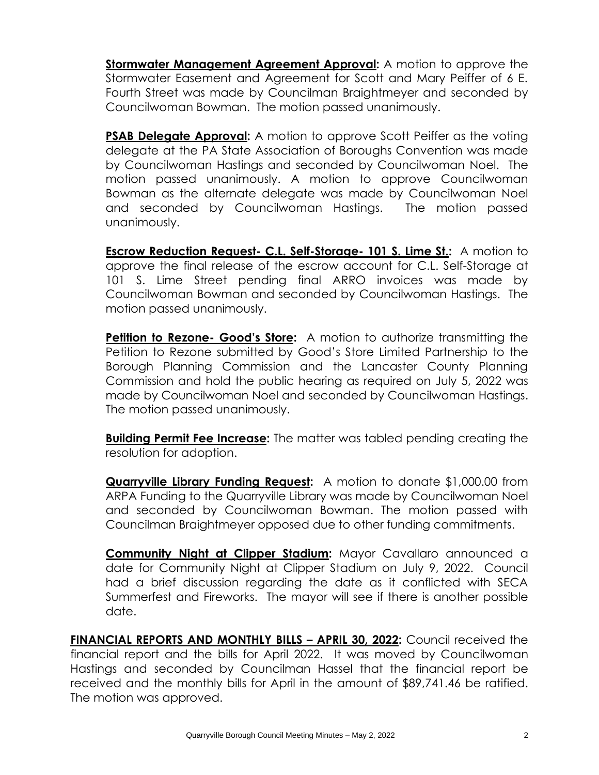**Stormwater Management Agreement Approval:** A motion to approve the Stormwater Easement and Agreement for Scott and Mary Peiffer of 6 E. Fourth Street was made by Councilman Braightmeyer and seconded by Councilwoman Bowman. The motion passed unanimously.

**PSAB Delegate Approval:** A motion to approve Scott Peiffer as the votina delegate at the PA State Association of Boroughs Convention was made by Councilwoman Hastings and seconded by Councilwoman Noel. The motion passed unanimously. A motion to approve Councilwoman Bowman as the alternate delegate was made by Councilwoman Noel and seconded by Councilwoman Hastings. The motion passed unanimously.

**Escrow Reduction Request- C.L. Self-Storage- 101 S. Lime St.:** A motion to approve the final release of the escrow account for C.L. Self-Storage at 101 S. Lime Street pending final ARRO invoices was made by Councilwoman Bowman and seconded by Councilwoman Hastings. The motion passed unanimously.

**Petition to Rezone- Good's Store:** A motion to authorize transmitting the Petition to Rezone submitted by Good's Store Limited Partnership to the Borough Planning Commission and the Lancaster County Planning Commission and hold the public hearing as required on July 5, 2022 was made by Councilwoman Noel and seconded by Councilwoman Hastings. The motion passed unanimously.

**Building Permit Fee Increase:** The matter was tabled pending creating the resolution for adoption.

**Quarryville Library Funding Request:** A motion to donate \$1,000.00 from ARPA Funding to the Quarryville Library was made by Councilwoman Noel and seconded by Councilwoman Bowman. The motion passed with Councilman Braightmeyer opposed due to other funding commitments.

**Community Night at Clipper Stadium:** Mayor Cavallaro announced a date for Community Night at Clipper Stadium on July 9, 2022. Council had a brief discussion regarding the date as it conflicted with SECA Summerfest and Fireworks. The mayor will see if there is another possible date.

**FINANCIAL REPORTS AND MONTHLY BILLS – APRIL 30, 2022:** Council received the financial report and the bills for April 2022. It was moved by Councilwoman Hastings and seconded by Councilman Hassel that the financial report be received and the monthly bills for April in the amount of \$89,741.46 be ratified. The motion was approved.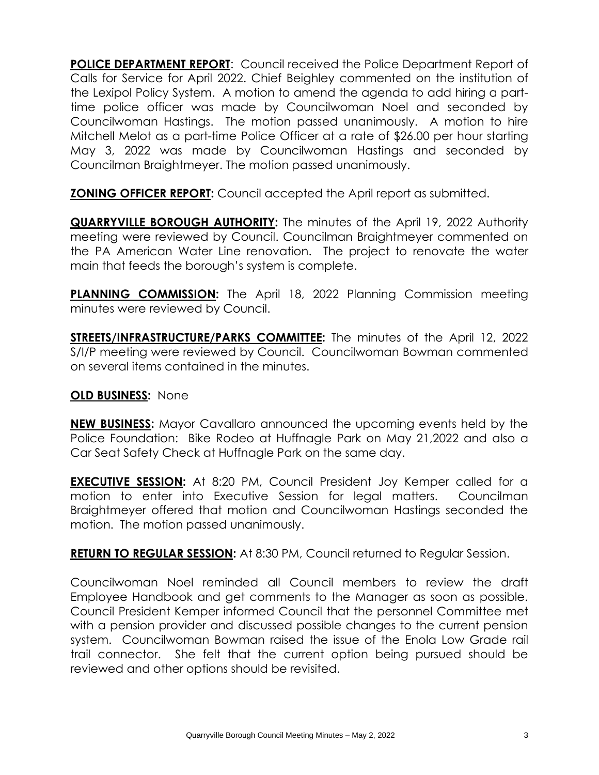**POLICE DEPARTMENT REPORT**: Council received the Police Department Report of Calls for Service for April 2022. Chief Beighley commented on the institution of the Lexipol Policy System. A motion to amend the agenda to add hiring a parttime police officer was made by Councilwoman Noel and seconded by Councilwoman Hastings. The motion passed unanimously. A motion to hire Mitchell Melot as a part-time Police Officer at a rate of \$26.00 per hour starting May 3, 2022 was made by Councilwoman Hastings and seconded by Councilman Braightmeyer. The motion passed unanimously.

**ZONING OFFICER REPORT:** Council accepted the April report as submitted.

**QUARRYVILLE BOROUGH AUTHORITY:** The minutes of the April 19, 2022 Authority meeting were reviewed by Council. Councilman Braightmeyer commented on the PA American Water Line renovation. The project to renovate the water main that feeds the borough's system is complete.

**PLANNING COMMISSION:** The April 18, 2022 Planning Commission meeting minutes were reviewed by Council.

**STREETS/INFRASTRUCTURE/PARKS COMMITTEE:** The minutes of the April 12, 2022 S/I/P meeting were reviewed by Council. Councilwoman Bowman commented on several items contained in the minutes.

## **OLD BUSINESS:** None

**NEW BUSINESS:** Mayor Cavallaro announced the upcoming events held by the Police Foundation: Bike Rodeo at Huffnagle Park on May 21,2022 and also a Car Seat Safety Check at Huffnagle Park on the same day.

**EXECUTIVE SESSION:** At 8:20 PM, Council President Joy Kemper called for a motion to enter into Executive Session for legal matters. Councilman Braightmeyer offered that motion and Councilwoman Hastings seconded the motion. The motion passed unanimously.

**RETURN TO REGULAR SESSION:** At 8:30 PM, Council returned to Regular Session.

Councilwoman Noel reminded all Council members to review the draft Employee Handbook and get comments to the Manager as soon as possible. Council President Kemper informed Council that the personnel Committee met with a pension provider and discussed possible changes to the current pension system. Councilwoman Bowman raised the issue of the Enola Low Grade rail trail connector. She felt that the current option being pursued should be reviewed and other options should be revisited.